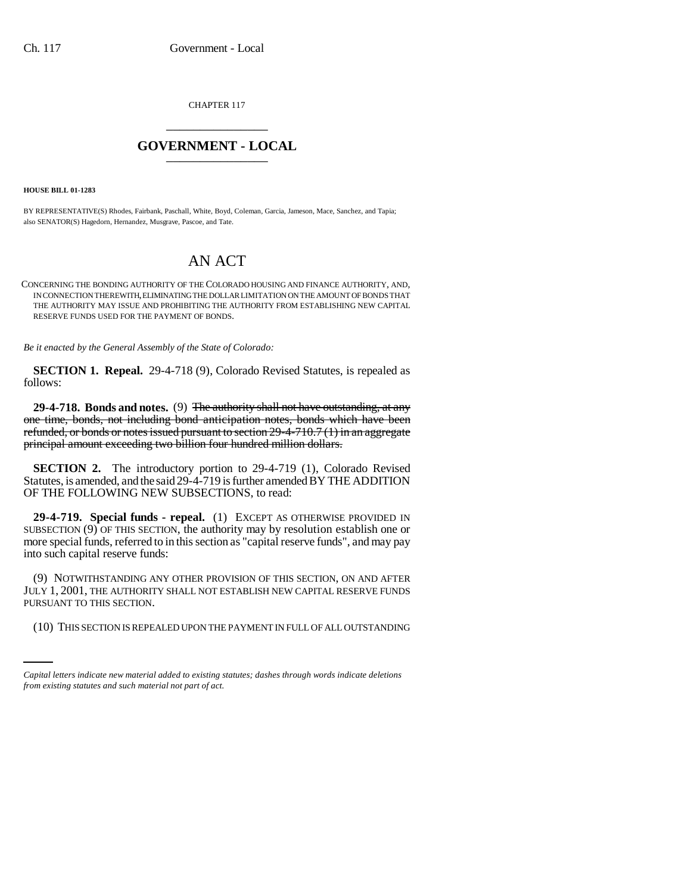CHAPTER 117 \_\_\_\_\_\_\_\_\_\_\_\_\_\_\_

## **GOVERNMENT - LOCAL** \_\_\_\_\_\_\_\_\_\_\_\_\_\_\_

**HOUSE BILL 01-1283**

BY REPRESENTATIVE(S) Rhodes, Fairbank, Paschall, White, Boyd, Coleman, Garcia, Jameson, Mace, Sanchez, and Tapia; also SENATOR(S) Hagedorn, Hernandez, Musgrave, Pascoe, and Tate.

## AN ACT

CONCERNING THE BONDING AUTHORITY OF THE COLORADO HOUSING AND FINANCE AUTHORITY, AND, IN CONNECTION THEREWITH, ELIMINATING THE DOLLAR LIMITATION ON THE AMOUNT OF BONDS THAT THE AUTHORITY MAY ISSUE AND PROHIBITING THE AUTHORITY FROM ESTABLISHING NEW CAPITAL RESERVE FUNDS USED FOR THE PAYMENT OF BONDS.

*Be it enacted by the General Assembly of the State of Colorado:*

**SECTION 1. Repeal.** 29-4-718 (9), Colorado Revised Statutes, is repealed as follows:

**29-4-718. Bonds and notes.** (9) The authority shall not have outstanding, at any one time, bonds, not including bond anticipation notes, bonds which have been refunded, or bonds or notes issued pursuant to section 29-4-710.7 (1) in an aggregate principal amount exceeding two billion four hundred million dollars.

**SECTION 2.** The introductory portion to 29-4-719 (1), Colorado Revised Statutes, is amended, and the said 29-4-719 is further amended BY THE ADDITION OF THE FOLLOWING NEW SUBSECTIONS, to read:

**29-4-719. Special funds - repeal.** (1) EXCEPT AS OTHERWISE PROVIDED IN SUBSECTION  $(9)$  OF THIS SECTION, the authority may by resolution establish one or more special funds, referred to in this section as "capital reserve funds", and may pay into such capital reserve funds:

PURSUANT TO THIS SECTION. (9) NOTWITHSTANDING ANY OTHER PROVISION OF THIS SECTION, ON AND AFTER JULY 1, 2001, THE AUTHORITY SHALL NOT ESTABLISH NEW CAPITAL RESERVE FUNDS

(10) THIS SECTION IS REPEALED UPON THE PAYMENT IN FULL OF ALL OUTSTANDING

*Capital letters indicate new material added to existing statutes; dashes through words indicate deletions from existing statutes and such material not part of act.*